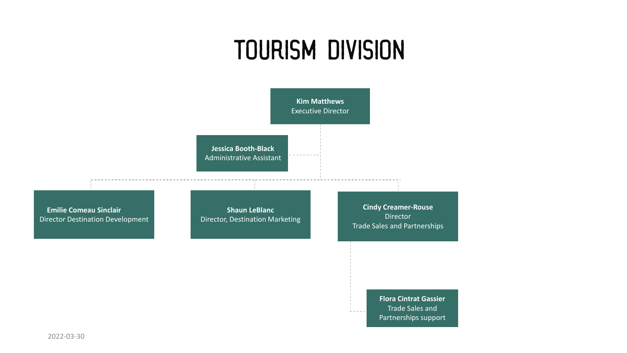## Tourism Division



2022-03-30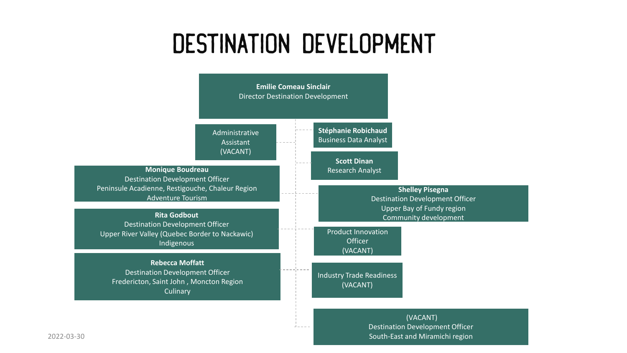## DESTINATION Development



2022-03-30 South-East and Miramichi region